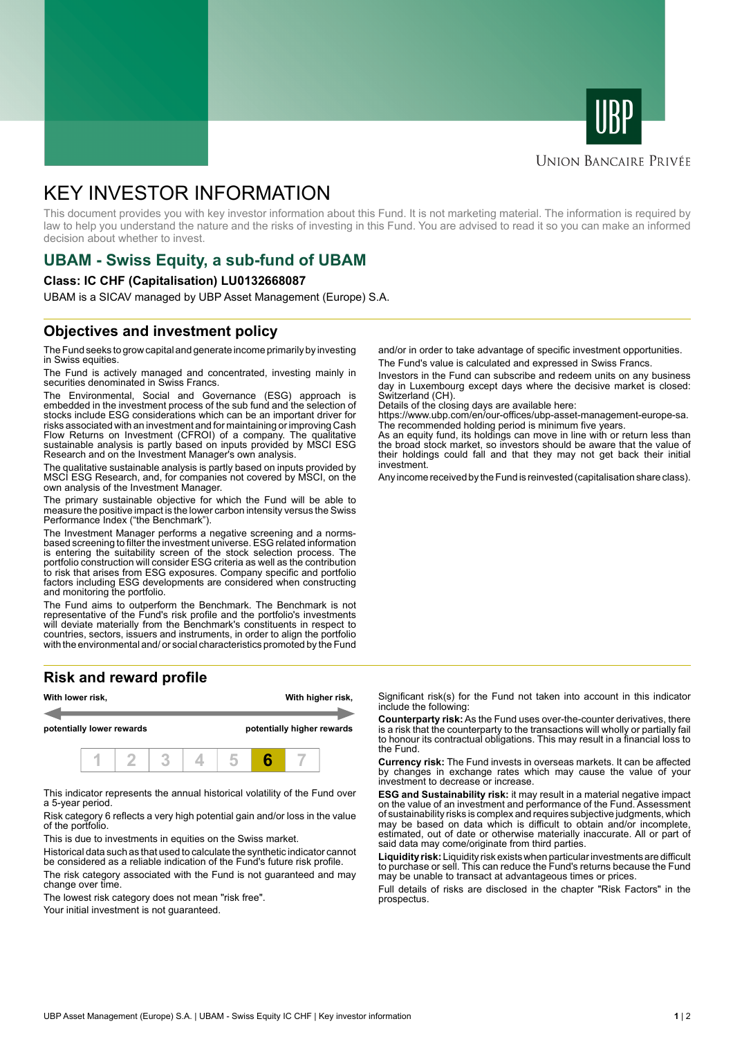



#### **UNION BANCAIRE PRIVÉE**

# KEY INVESTOR INFORMATION

This document provides you with key investor information about this Fund. It is not marketing material. The information is required by law to help you understand the nature and the risks of investing in this Fund. You are advised to read it so you can make an informed decision about whether to invest.

# **UBAM - Swiss Equity, a sub-fund of UBAM**

#### **Class: IC CHF (Capitalisation) LU0132668087**

UBAM is a SICAV managed by UBP Asset Management (Europe) S.A.

### **Objectives and investment policy**

The Fund seeks to grow capital and generate income primarily by investing in Swiss equities.

The Fund is actively managed and concentrated, investing mainly in securities denominated in Swiss Francs.

The Environmental, Social and Governance (ESG) approach is embedded in the investment process of the sub fund and the selection of stocks include ESG considerations which can be an important driver for risks associated with an investment and for maintaining or improving Cash Flow Returns on Investment (CFROI) of a company. The qualitative sustainable analysis is partly based on inputs provided by MSCI ESG Research and on the Investment Manager's own analysis.

The qualitative sustainable analysis is partly based on inputs provided by MSCI ESG Research, and, for companies not covered by MSCI, on the own analysis of the Investment Manager.

The primary sustainable objective for which the Fund will be able to measure the positive impact is the lower carbon intensity versus the Swiss Performance Index ("the Benchmark").

The Investment Manager performs a negative screening and a normsbased screening to filter the investment universe. ESG related information is entering the suitability screen of the stock selection process. The portfolio construction will consider ESG criteria as well as the contribution to risk that arises from ESG exposures. Company specific and portfolio factors including ESG developments are considered when constructing and monitoring the portfolio.

The Fund aims to outperform the Benchmark. The Benchmark is not representative of the Fund's risk profile and the portfolio's investments will deviate materially from the Benchmark's constituents in respect to countries, sectors, issuers and instruments, in order to align the portfolio with the environmental and/ or social characteristics promoted by the Fund

## **Risk and reward profile**



This indicator represents the annual historical volatility of the Fund over a 5-year period.

Risk category 6 reflects a very high potential gain and/or loss in the value of the portfolio.

This is due to investments in equities on the Swiss market.

Historical data such as that used to calculate the synthetic indicator cannot be considered as a reliable indication of the Fund's future risk profile. The risk category associated with the Fund is not guaranteed and may change over time.

The lowest risk category does not mean "risk free".

Your initial investment is not guaranteed.

and/or in order to take advantage of specific investment opportunities. The Fund's value is calculated and expressed in Swiss Francs.

Investors in the Fund can subscribe and redeem units on any business day in Luxembourg except days where the decisive market is closed: Switzerland (CH).

Details of the closing days are available here:

https://www.ubp.com/en/our-offices/ubp-asset-management-europe-sa. The recommended holding period is minimum five years.

As an equity fund, its holdings can move in line with or return less than the broad stock market, so investors should be aware that the value of their holdings could fall and that they may not get back their initial investment.

Any income received by the Fund is reinvested (capitalisation share class).

Significant risk(s) for the Fund not taken into account in this indicator include the following:

**Counterparty risk:** As the Fund uses over-the-counter derivatives, there is a risk that the counterparty to the transactions will wholly or partially fail to honour its contractual obligations. This may result in a financial loss to the Fund.

**Currency risk:** The Fund invests in overseas markets. It can be affected by changes in exchange rates which may cause the value of your investment to decrease or increase.

**ESG and Sustainability risk:** it may result in a material negative impact on the value of an investment and performance of the Fund. Assessment of sustainability risks is complex and requires subjective judgments, which may be based on data which is difficult to obtain and/or incomplete, estimated, out of date or otherwise materially inaccurate. All or part of said data may come/originate from third parties.

**Liquidity risk:** Liquidity risk exists when particular investments are difficult to purchase or sell. This can reduce the Fund's returns because the Fund may be unable to transact at advantageous times or prices.

Full details of risks are disclosed in the chapter "Risk Factors" in the prospectus.